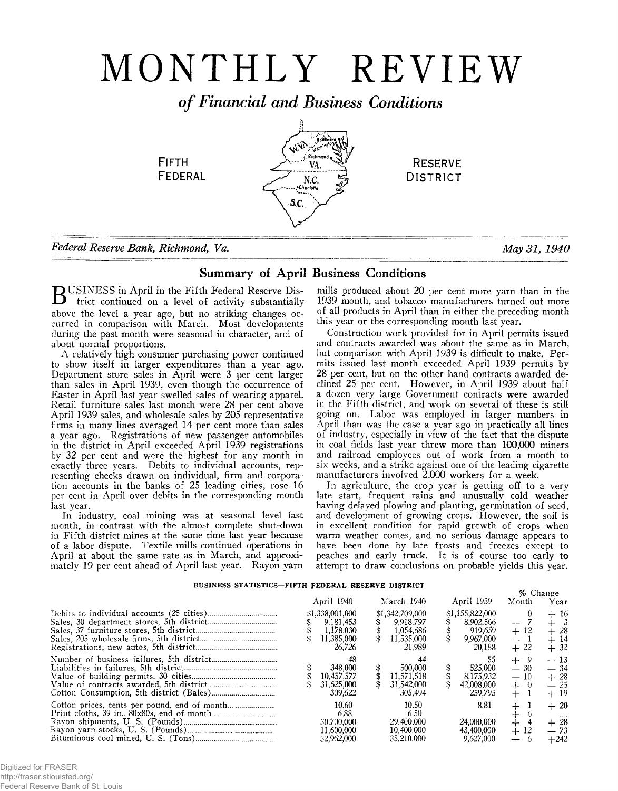# MONTHLY REVIEW

*o f Financial and Business Conditions*

وأنمو

*N.C.*  $\frac{P}{2}$  DISTRICT

FIFTH  $\frac{1}{M}$  RESERVE<br>FEDERAL  $\frac{1}{M}$  RESERVE

*Federal Reserve Bank, Richmond, Va.* May 31, 1940

# Summary of April Business Conditions

 $S_{\rm C}$ 

BUSINESS in April in the Fifth Federal Reserve District continued on a limit trict continued on a level of activity substantially above the level a year ago, but no striking changes occurred in comparison with March. Most developments during the past month were seasonal in character, and of about normal proportions.

A relatively high consumer purchasing power continued to show itself in larger expenditures than a year ago. Department store sales in April were 3 per cent larger than sales in April 1939, even though the occurrence of Easter in April last year swelled sales of wearing apparel. Retail furniture sales last month were 28 per cent above April 1939 sales, and wholesale sales by 205 representative firms in many lines averaged 14 per cent more than sales a year ago. Registrations of new passenger automobiles in the district in April exceeded April 1939 registrations by 32 per cent and were the highest for any month in exactly three years. Debits to individual accounts, representing checks drawn on individual, firm and corporation accounts in the banks of 25 leading cities, rose 16 per cent in April over debits in the corresponding month last year.

In industry, coal mining was at seasonal level last month, in contrast with the almost complete shut-down in Fifth district mines at the same time last year because of a labor dispute. Textile mills continued operations in April at about the same rate as in March, and approximately 19 per cent ahead of April last year. Rayon yarn

mills produced about 20 per cent more yarn than in the 1939 month, and tobacco manufacturers turned out more of all products in April than in either the preceding month this year or the corresponding month last year.

Construction work provided for in April permits issued and contracts awarded was about the same as in March, but comparison with April 1939 is difficult to make. Permits issued last month exceeded April 1939 permits by 28 per cent, but on the other hand contracts awarded declined 25 per cent. However, in April 1939 about half a dozen very large Government contracts were awarded in the Fifth district, and work on several of these is still going on. Labor was employed in larger numbers in April than was the case a year ago in practically all lines of industry, especially in view of the fact that the dispute in coal fields last year threw more than 100,000 miners and railroad employees out of work from a month to six weeks, and a strike against one of the leading cigarette manufacturers involved 2,000 workers for a week.

In agriculture, the crop year is getting off to a very late start, frequent rains and unusually cold weather having delayed plowing and planting, germination of seed, and development of growing crops. However, the soil is in excellent condition for rapid growth of crops when warm weather comes, and no serious damage appears to have been done by late frosts and freezes except to peaches and early truck. It is of course too early to attempt to draw conclusions on probable yields this year.

# **BUSINESS STATISTICS— FIFTH FEDERAL RESERVE DISTRICT**

| DODIN DO DIAIDIRO TIKILIN FEDERAL NEGERAL DIGLARU |                                                                   |  |                                                                   | % Change |                                                                |                                                   |                                                 |
|---------------------------------------------------|-------------------------------------------------------------------|--|-------------------------------------------------------------------|----------|----------------------------------------------------------------|---------------------------------------------------|-------------------------------------------------|
|                                                   | April 1940                                                        |  | March 1940                                                        |          | April 1939                                                     | Month                                             | Year                                            |
|                                                   | \$1,338,001,000<br>9.181.453<br>1.178.030<br>11.385.000<br>26.726 |  | \$1,342,709,000<br>9.918.797<br>1.054,686<br>11.535,000<br>21.989 |          | \$1,155,822,000<br>8.902.566<br>919.659<br>9.967.000<br>20.188 | $\overline{\phantom{a}}$<br>$+12$<br>$-$<br>$+22$ | $+16$<br>$+3$<br>$+28$<br>$+14$<br>$+32$        |
|                                                   | 48<br>348,000<br>10,457,577<br>31.625,000<br>309.622              |  | 500,000<br>11.571.518<br>31.542,000<br>305.494                    |          | 525.000<br>8,175,932<br>42,008,000<br>259.795                  | -9<br>$+$<br>$-30$<br>$-10$<br>-0<br>$+$<br>$+$   | $-13$<br>$-34$<br>$+28$<br>$-25$<br>$+19$       |
|                                                   | 10.60<br>6.88<br>30.700.000<br>11.600.000<br>32.962.000           |  | 10.50<br>6.50<br>29.400,000<br>10.400.000<br>35,210,000           |          | 8.81<br><br>24,000,000<br>43.400.000<br>9,627,000              | $+$<br>$\div$<br>$+$<br>12<br>$+$                 | $+20$<br>$\sim 100$<br>$+28$<br>$-73$<br>$+242$ |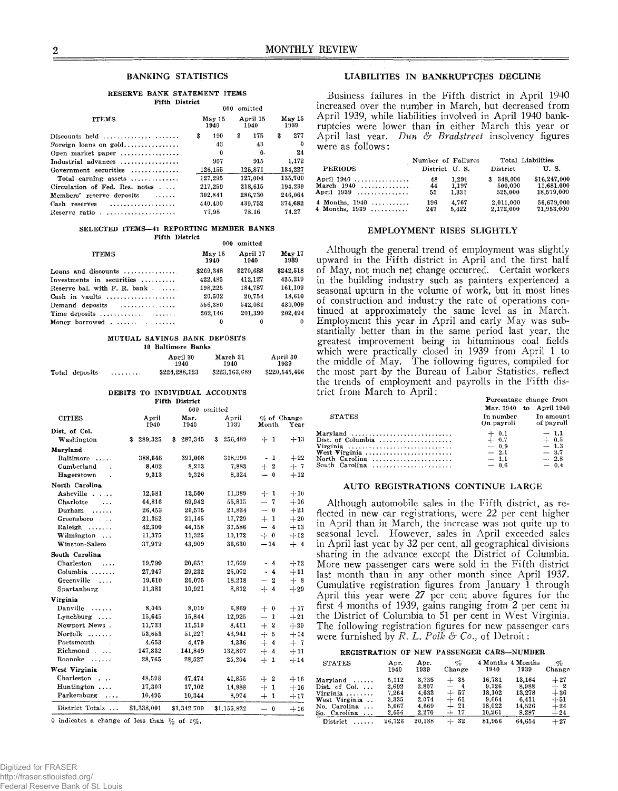#### **RESERVE BANK STATEMENT ITEMS Fifth District**

|                                |                | 000 omitted       |                   | mercased over the number in march, but decreased from                                                               |                    |       |                |                   |
|--------------------------------|----------------|-------------------|-------------------|---------------------------------------------------------------------------------------------------------------------|--------------------|-------|----------------|-------------------|
| <b>ITEMS</b>                   | May 15<br>1940 | April 15<br>1940- | $M$ av 15<br>1939 | April 1939, while liabilities involved in April 1940 bank-<br>ruptcies were lower than in either March this year or |                    |       |                |                   |
| Discounts held                 | 190<br>s.      | 175<br>\$         | 277<br>\$         | April last year, Dun & Bradstreet insolvency figures                                                                |                    |       |                |                   |
| Foreign loans on $gold$        | 43             | 43                |                   | were as follows:                                                                                                    |                    |       |                |                   |
| Open market paper              |                | 0.                | 24                |                                                                                                                     |                    |       |                |                   |
| Industrial advances            | 907            | 915               | 1,172             |                                                                                                                     | Number of Failures |       |                | Total Liabilities |
| Government securities          | 126,155        | 125,871           | 134,227           | <b>PERIODS</b>                                                                                                      | District U.S.      |       | District       | U.S.              |
| Total earning assets           | 127.295        | 127,004           | 135,700           | April 1940                                                                                                          | 48                 | 1,291 | 348,000<br>\$. | \$16,247,000      |
| Circulation of Fed. Res. notes | 217,259        | 218,615           | 194.239           | March $1940$                                                                                                        | 44                 | 1,197 | 500,000        | 11,681,000        |
| Members' reserve deposits      | 302,841        | 286,730           | 246.064           | April 1939                                                                                                          | 55                 | 1,331 | 525,000        | 18,579,000        |
| Cash reserves                  | 440.400        | 439.752           | 374.682           | 4 Months, $1940$                                                                                                    | 196                | 4.767 | 2.011.000      | 56,679,000        |
| Reserve ratio                  | 77.98          | 78.16             | 74.27             | 4 Months, $1939$                                                                                                    | 247                | 5,422 | 2,172,000      | 71,953,000        |
|                                |                |                   |                   |                                                                                                                     |                    |       |                |                   |

#### SELECTED ITEMS-41 REPORTING MEMBER BANKS **Fifth District**

| ***************                         | 000-           | omitted          |                |
|-----------------------------------------|----------------|------------------|----------------|
| <b>ITEMS</b>                            | May 15<br>1940 | April 17<br>1940 | May 17<br>1939 |
| Loans and discounts $\ldots$ ,          | \$269.348      | \$270,688        | \$242,518      |
| Investments in securities               | 422,485        | 412.127          | 435,219        |
| Reserve bal. with $F. R.$ bank $\ldots$ | 198,225        | 184.787          | 161,109        |
|                                         | 20,502         | 20,754           | 18.610         |
| Demand deposits $\dots\dots\dots\dots$  | 556.380        | 542.081          | 480.009        |
|                                         | 202.146        | 201,390          | 202,494        |
|                                         | 0              | 0                | 0              |

#### **MUTUAL SAVINGS BANK DEPOSITS**

# **10 Baltimore Banks**

|                |   | April 30<br>1940 | March 31<br>1940 | April 30<br>1939 |
|----------------|---|------------------|------------------|------------------|
| Total deposits | . | \$224.288.123    | \$223,163,689    | \$220,545,406    |

## **DEBITS TO INDIVIDUAL ACCOUNTS**

| <b>Fifth District</b>              |               |               |               |                                            |       |  |  |  |
|------------------------------------|---------------|---------------|---------------|--------------------------------------------|-------|--|--|--|
|                                    | 000 omitted   |               |               |                                            |       |  |  |  |
| <b>CITIES</b>                      | April<br>1940 | Mar.<br>1940  | April<br>1939 | $\%$ of Change<br>Month                    | Year  |  |  |  |
| Dist. of Col.                      |               |               |               |                                            |       |  |  |  |
| Washington                         | 289,325<br>\$ | 287,345<br>\$ | \$<br>256,489 | $+1$                                       | $+13$ |  |  |  |
| Maryland                           |               |               |               |                                            |       |  |  |  |
| Baltimore<br>$\ldots$              | 388.646       | 391,008       | 318,990       | 1<br>$\tilde{\phantom{a}}$                 | $+22$ |  |  |  |
| Cumberland<br>$\overline{a}$       | 8.402         | 8.213         | 7.883         | $+2$                                       | $+7$  |  |  |  |
| Hagerstown<br>$\ddot{\phantom{a}}$ | 9,313         | 9,326         | 8,324         | $-0$                                       | $+12$ |  |  |  |
| North Carolina                     |               |               |               |                                            |       |  |  |  |
| Asheville                          | 12,581        | 12,500        | 11,389        | $+1$                                       | $+10$ |  |  |  |
| Charlotte<br>$\cdots$              | 64,816        | 69,942        | 55,815        | $-7$                                       | $+16$ |  |  |  |
| Durham<br>.                        | 26,453        | 26,575        | 21.834        | $- 0$                                      | $+21$ |  |  |  |
| Greensboro                         | 21,352        | 21,145        | 17,729        | $+1$                                       | $+20$ |  |  |  |
| Raleigh<br>1.1.1.1.1.1             | 42,300        | 44.158        | 37,586        | $\overline{\phantom{0}}$<br>$\overline{4}$ | $+13$ |  |  |  |
| Wilmington                         | 11,375        | 11,325        | 10,172        | $+ 0$                                      | $+12$ |  |  |  |
| Winston-Salem                      | 37,979        | 43.909        | 36,630        | $-14$                                      | $+4$  |  |  |  |
| South Carolina                     |               |               |               |                                            |       |  |  |  |
| Charleston<br>$\cdots$             | 19,799        | 20,651        | 17.669        | - 4                                        | $+12$ |  |  |  |
| $Columnia$ ,,,,,,                  | 27,947        | 29,232        | 25,072        | $-4$                                       | $+11$ |  |  |  |
| Greenville<br>$\cdots$             | 19,610        | 20,075        | 18,218        | $\boldsymbol{2}$<br>$\qquad \qquad$        | $+8$  |  |  |  |
| Spartanburg                        | 11.381        | 10.921        | 8,812         | $+ 4$                                      | $+29$ |  |  |  |
| Virginia                           |               |               |               |                                            |       |  |  |  |
| Danville<br>.                      | 8.045         | 8.019         | 6.869         | $+ 0$                                      | $+17$ |  |  |  |
| Lynchburg                          | 15,645        | 15,844        | 12,925        | $-1$                                       | $+21$ |  |  |  |
| Newport News.                      | 11,733        | 11,519        | 8.411         | $+2$                                       | $+39$ |  |  |  |
| $Norfolk$                          | 53,653        | 51.227        | 46,941        | $+5$                                       | $+14$ |  |  |  |
| Portsmouth<br>$\sim$               | 4.653         | 4,479         | 4,336         | $+$<br>$\overline{4}$                      | $+7$  |  |  |  |
| Richmond                           | 147,832       | 141,849       | 132,807       | $+$<br>$\overline{4}$                      | $+11$ |  |  |  |
| Roanoke<br>.                       | 28,765        | 28,527        | 25,204        | $+$<br>$\mathbf{I}$                        | $+14$ |  |  |  |
| West Virginia                      |               |               |               |                                            |       |  |  |  |
| Charleston<br>$\sim$ $\sim$ $\sim$ | 48,598        | 47,474        | 41,855        | $+2$                                       | $+16$ |  |  |  |
| Huntington                         | 17,303        | 17.102        | 14,888        | $+$<br>1                                   | $+16$ |  |  |  |
| Parkersburg<br>$\sim$              | 10,495        | 10,344        | 8.974         | $+$<br>$\mathbf{1}$                        | $+17$ |  |  |  |
| District Totals                    | \$1,338,001   | \$1,342.709   | \$1,155,822   | $\overline{\phantom{0}}$<br>$\bf{0}$       | $+16$ |  |  |  |

0 indicates a change of less than  $\frac{1}{6}$  of 1%.

# BANKING STATISTICS LIABILITIES IN BANKRUPTCIES DECLINE

Business failures in the Fifth district in April 1940 increased over the number in March, but decreased from April 1939, while liabilities involved in April 1940 bank-**<sup>1940</sup> 1940 1939** ruptcies were lower than in either March this year or **\$ 190 \$ 175 \$ 277** April last year. *Dun & Bradstreet* insolvency figures **<sup>43</sup> 43 0** were as follows:

| dustrial advances                                    | 907          | 915         | 1,172   |                  | Number of Failures |            |           | Total Liabilities |
|------------------------------------------------------|--------------|-------------|---------|------------------|--------------------|------------|-----------|-------------------|
| $over$ ment securities $\ldots \ldots \ldots \ldots$ | 126,155      | 125.871     | 134,227 | <b>PERIODS</b>   | District U.S.      |            | District  | U.S.              |
| Total earning assets $\dots\dots\dots\dots$          | 127.295      | 127.004     | 135,700 | April 1940       | 48                 | 1.291      | 348.000   | \$16,247,000      |
| rculation of Fed. Res. notes                         | 217.259      | 218.615     | 194.239 | March $1940$     |                    | 1.197      | 500,000   | 11.681.000        |
| embers' reserve deposits<br>.                        | 302.841      | 286.730     | 246.064 | April $1939$     |                    | $_{1.331}$ | 525,000   | 18.579.000        |
| s <b>h reserves</b>                                  | 440.400      | 439.752     | 374.682 | 4 Months, $1940$ | 196                | 4.767      | 2.011.000 | 56,679,000        |
|                                                      | $\pi\pi$ 0.0 | <b>7010</b> | 71.07   | 4 Months, $1939$ | 247                | 5.422      | 2.172.000 | 71,953,000        |

# EMPLOYMENT RISES SLIGHTLY

Although the general trend of employment was slightly upward in the Fifth district in April and the first half of May, not much net change occurred. Certain workers in the building industry such as painters experienced a seasonal upturn in the volume of work, but in most lines of construction and industry the rate of operations continued at approximately the same level as in March. Employment this year in April and early May was substantially better than in the same period last year, the greatest improvement being in bituminous coal fields which were practically closed in 1939 from April 1 to the middle of May. The following figures, compiled for the most part by the Bureau of Labor Statistics, reflect the trends of employment and payrolls in the Fifth district from March to April: **Percentage change from**

| <b>STATES</b>        | In number<br>On payroll                         | Mar. 1940 to April 1940<br>In amount<br>of payroll        |
|----------------------|-------------------------------------------------|-----------------------------------------------------------|
| Maryland<br>Virginia | $+ 0.1$<br>$-0.9$<br>$-2.1$<br>$-1.1$<br>$-0.6$ | $-1.1$<br>$+$ 0.5<br>$-1.3$<br>$-3.7$<br>$-2.8$<br>$-0.4$ |

## AUTO REGISTRATIONS CONTINUE LARGE

Although automobile sales in the Fifth district, as reflected in new car registrations, were 22 per cent higher in April than in March, the increase was not quite up to seasonal level. However, sales in April exceeded sales in April last year by 32 per cent, all geographical divisions sharing in the advance except the District of Columbia. More new passenger cars were sold in the Fifth district last month than in any other month since April 1937. Cumulative registration figures from January 1 through April this year were 27 per cent above figures for the first 4 months of 1939, gains ranging from 2 per cent in the District of Columbia to 51 per cent in West Virginia. The following registration figures for new passenger cars were furnished by *R. L. Polk & Co.*, of Detroit:

# **REGISTRATION OF NEW PASSENGER CARS— NUMBER**

| <b>STATES</b>            | Apr.<br>1940 | Apr.<br>1939 | $c_{\alpha}$<br>Change | 1940   | 4 Months 4 Months<br>1939 | $\phi_{0}$<br>Change |
|--------------------------|--------------|--------------|------------------------|--------|---------------------------|----------------------|
| Maryland                 | 5.112        | 3.735        | $+35$                  | 16.781 | 13.164                    | $+27$                |
| Dist. of Col. $\ldots$   | 2.692        | 2.807        | $-4$                   | 9.126  | 8.988                     | $+2$                 |
| Virginia $\ldots \ldots$ | 7.264        | 4.633        | $-.57$                 | 18.102 | 13.278                    | $+36$                |
| West Virginia            | 3.335        | 2.074        | $+$ 61                 | 9.664  | 6.411                     | $+51$                |
| No. Carolina             | 5.667        | 4.669        | $+21$                  | 18.022 | 14.526                    | $+24$                |
| So. Carolina             | 2,656        | 2.270        | $+ 17$                 | 10.261 | 8.287                     | $+24$                |
| District<br>.            | 26.726       | 20.188       | $+32$                  | 81.956 | 64.654                    | $+27$                |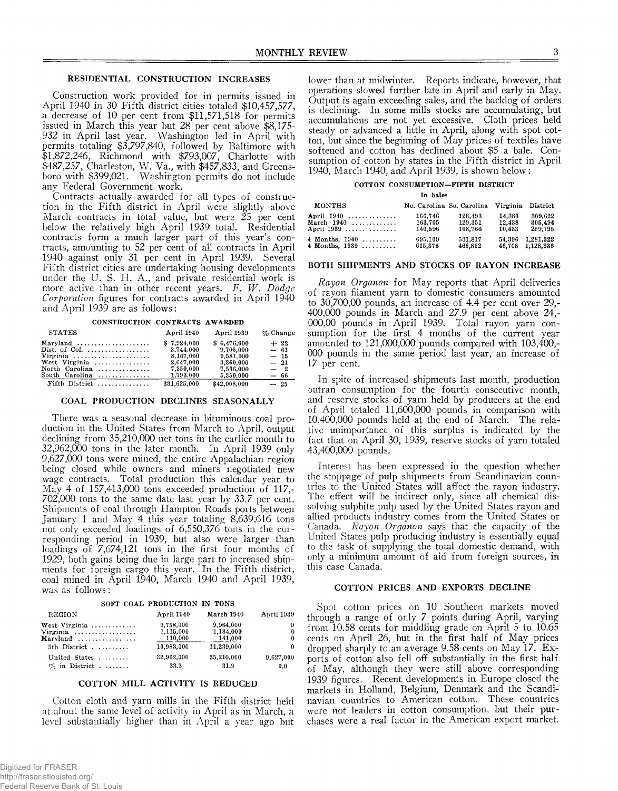# RESIDENTIAL CONSTRUCTION INCREASES

Construction work provided for in permits issued in April 1940 in 30 Fifth district cities totaled \$10,457,577, a decrease of 10 per cent from \$11,571,518 for permits issued in March this year but 28 per cent above \$8,175- 932 in April last year. Washington led in April with permits totaling \$3,797,840, followed by Baltimore with \$1,872,246, Richmond with \$793,007, Charlotte with \$487,257, Charleston, W . Va., with \$457,833, and Greensboro with \$399,021. Washington permits do not include any Federal Government work.

Contracts actually awarded for all types of construction in the Fifth district in April were slightly above March contracts in total value, but were 25 per cent below the relatively high April 1939 total. Residential contracts form a much larger part of this year's contracts, amounting to 52 per cent of all contracts in April 1940 against only 31 per cent in April 1939. Several Fifth district cities are undertaking housing developments under the U. S. H. A., and private residential work is more active than in other recent years. *F. W . Dodge Corporation* figures for contracts awarded in April 1940 and April 1939 are as follows:

**CONSTRUCTION CONTRACTS AWARDED**

| <b>STATES</b>                               | April 1940   | April 1939   | $\%$ Change |
|---------------------------------------------|--------------|--------------|-------------|
|                                             | \$7.924.000  | \$6,476,000  | $+22$       |
| Dist. of Col.                               | 3.744,000    | 9,705,000    | $-61$       |
|                                             | 8.167.000    | 9,581,000    | $-15$       |
| West Virginia $\ldots \ldots \ldots \ldots$ | 2.647.000    | 3,360,000    | $-21$       |
| North Carolina                              | 7,350,000    | 7.536.000    | $-2$        |
| South Carolina $\ldots \ldots \ldots$       | 1,793,000    | 5,350,000    | $-66$       |
| Fifth District                              | \$31,625,000 | \$42,008,000 | $-25$       |

# COAL PRODUCTION DECLINES SEASONALLY

There was a seasonal decrease in bituminous coal production in the United States from March to April, output declining from 35,210,000 net tons in the earlier month to 32.962.000 tons in the later month. In April 1939 only 9.627.000 tons were mined, the entire Appalachian region being closed while owners and miners negotiated new wage contracts. Total production this calendar year to May 4 of 157,413,000 tons exceeded production of 117,-702.000 tons to the same date last year by 33.7 per cent. Shipments of coal through Hampton Roads ports between January 1 and May 4 this year totaling 8,639,616 tons not only exceeded loadings of 6,550,376 tons in the corresponding period in 1939, but also were larger than loadings of 7,674,121 tons in the first four months of 1929, both gains being due in large part to increased shipments for foreign cargo this year. In the Fifth district, coal mined in April 1940, March 1940 and April 1939, was as follows:

|                                                                                                   | SOFT COAL PRODUCTION IN TONS      |                                   |                    |
|---------------------------------------------------------------------------------------------------|-----------------------------------|-----------------------------------|--------------------|
| <b>REGION</b>                                                                                     | April 1940                        | March 1940                        | April 1939         |
| West Virginia<br>Virginia $\ldots \ldots \ldots \ldots$<br>$Marvland \ldots \ldots \ldots \ldots$ | 9,758,000<br>1,115,000<br>110,000 | 9.964.000<br>1.134.000<br>141,000 | 0<br>$\bf{0}$<br>0 |
| 5th District                                                                                      | 10.983.000                        | 11.239.000                        | $\Omega$           |
| United States<br>$\%$ in District                                                                 | 32,962,000<br>33.3                | 35,210,000<br>31.9                | 9,627,000<br>0.0   |

# COTTON MILL ACTIVITY IS REDUCED

Cotton cloth and yarn mills in the Fifth district held at about the same level of activity in April as in March, a level substantially higher than in April a year ago but

lower than at midwinter. Reports indicate, however, that operations slowed further late in April and early in May. Output is again exceeding sales, and the backlog of orders is declining. In some mills stocks are accumulating, but accumulations are not yet excessive. Cloth prices held steady or advanced a little in April, along with spot cotton, but since the beginning of May prices of textiles have softened and cotton has declined about \$5 a bale. Consumption of cotton by states in the Fifth district in April 1940, March 1940, and April 1939, is shown below:

# **COTTON CONSUMPTION-FIFTH DISTRICT**

|                | In bales                  |         |        |                   |
|----------------|---------------------------|---------|--------|-------------------|
| MONTHS         | No. Carolina So. Carolina |         |        | Virginia District |
| April 1940     | 166.746                   | 128.493 | 14.383 | 309.622           |
| March 1940     | 163,705                   | 129,351 | 12,438 | 305.494           |
| April 1939     | 140.596                   | 108,766 | 10.433 | 259,795           |
| 4 Months, 1940 | 695,109                   | 531.817 | 54.396 | 1,281,322         |
| 4 Months, 1939 | 615.376                   | 466.852 | 46.708 | 1,128,936         |

# BOTH SHIPMENTS AND STOCKS OF RAYON INCREASE

*Rayon Organon* for May reports that April deliveries of rayon filament yarn to domestic consumers amounted to 30,700,00 pounds, an increase of 4.4 per cent over 29,- 400.000 pounds in March and 27.9 per cent above 24,- 000,00 pounds in April 1939. Total rayon yarn consumption for the first 4 months of the current year amounted to 121,000,000 pounds compared with 103,400,- 000 pounds in the same period last year, an increase of 17 per cent.

In spite of increased shipments last month, production outran consumption for the fourth consecutive month, and reserve stocks of yarn held by producers at the end of April totaled 11,600,000 pounds in comparison with 10.400.000 pounds held at the end of March. The relative unimportance of this surplus is indicated by the fact that on April 30, 1939, reserve stocks of yarn totaled 43.400.000 pounds.

Interest has been expressed in the question whether the stoppage of pulp shipments from Scandinavian countries to the United States will affect the rayon industry. The effect will be indirect only, since all chemical dissolving sulphite pulp used by the United States rayon and allied products industry comes from the United States or Canada. *Rayon Organon* says that the capacity of the United States pulp producing industry is essentially equal to the task of supplying the total domestic demand, with only a minimum amount of aid from foreign sources, in this case Canada.

# COTTON PRICES AND EXPORTS DECLINE

Spot cotton prices on 10 Southern markets moved through a range of only 7 points during April, varying from 10.58 cents for middling grade on April 5 to 10.65 cents on April 26, but in the first half of May prices dropped sharply to an average 9.58 cents on May 17. Exports of cotton also fell off substantially in the first half of May, although they were still above corresponding 1939 figures. Recent developments in Europe closed the markets in Holland, Belgium, Denmark and the Scandinavian countries to American cotton. These countries were not leaders in cotton consumption, but their purchases were a real factor in the American export market.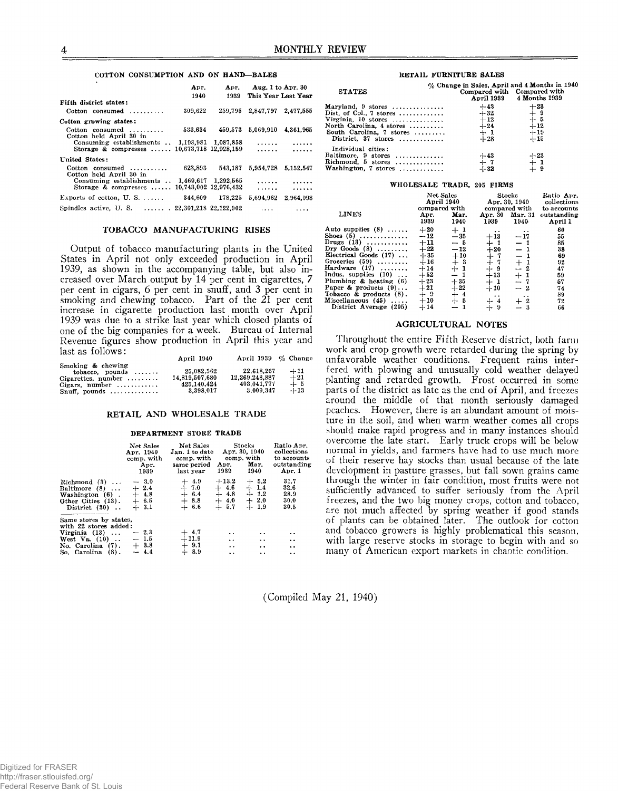# **COTTON CONSUMPTION AND ON HAND— BALES**

|                                                       | Apr.<br>Apr. |         | Aug. 1 to Apr. $30$ |           |  |
|-------------------------------------------------------|--------------|---------|---------------------|-----------|--|
|                                                       | 1940         | 1939    | This Year Last Year |           |  |
| Fifth district states:                                |              |         |                     |           |  |
| Cotton consumed $\dots\dots\dots$                     | 309.622      | 259.795 | 2.847.797 2.477.555 |           |  |
| Cotton growing states:                                |              |         |                     |           |  |
| Cotton consumed<br>Cotton held April 30 in            | 533.634      | 459.573 | 5.069.910 4.361.965 |           |  |
| Consuming establishments  1.198,981 1.087,858         |              |         | .                   | .         |  |
| Storage & compresses  10,673,718 12.928.159           |              |         | .                   | .         |  |
| United States:                                        |              |         |                     |           |  |
| Cotton consumed<br>Cotton held April 30 in            | 623,893      | 543,187 | 5,954,728           | 5.152.547 |  |
| Consuming establishments $\ldots$ 1.469.617 1.292.565 |              |         | .                   | .         |  |
| Storage & compresses  10.743.002 12.976.432           |              |         | .                   | .         |  |
| Exports of cotton, U.S. $\dots$                       | 344.609      | 178.225 | 5.694.962           | 2.964.098 |  |
| Spindles active, U.S.  22,301,218 22,122,902          |              |         | $\cdots$            | .         |  |

# TOBACCO MANUFACTURING RISES

Output of tobacco manufacturing plants in the United States in April not only exceeded production in April 1939, as shown in the accompanying table, but also increased over March output by 14 per cent in cigarettes, 7 per cent in cigars, 6 per cent in snuff, and 3 per cent in smoking and chewing tobacco. Part of the 21 per cent increase in cigarette production last month over April 1939 was due to a strike last year which closed plants of one of the big companies for a week. Bureau of Internal Revenue figures show production in April this year and last as follows:

|                                                                    | April 1940     | April 1939 % Change |       |
|--------------------------------------------------------------------|----------------|---------------------|-------|
| Smoking & chewing                                                  | 25.082.562     | 22.618.267          | $+11$ |
| $tobacco.$ pounds $\ldots \ldots$<br>Cigarettes, number $, \ldots$ | 14.819.507.680 | 12.269.248.887      | $+21$ |
| Cigars. number $\dots\dots\dots$                                   | 425.140.424    | 403.041.777         | $+5$  |
| $Snuff$ , pounds                                                   | 3.398.017      | 3.009.347           | $+13$ |

# RETAIL AND WHOLESALE TRADE

#### **DEPARTMENT STORE TRADE**

|                                                                                                                                 | Net Sales<br>Apr. 1940<br>comp. with<br>Apr.<br>1939 | Net Sales<br>Jan. 1 to date<br>comp. with<br>same period<br>last year | Apr. 30, 1940<br>Apr.<br>1939                                                                | Stocks<br>comp. with<br>Mar.<br>1940           | Ratio Apr.<br>collections<br>to accounts<br>outstanding<br>Apr. 1      |
|---------------------------------------------------------------------------------------------------------------------------------|------------------------------------------------------|-----------------------------------------------------------------------|----------------------------------------------------------------------------------------------|------------------------------------------------|------------------------------------------------------------------------|
| Richmond $(3)$<br>Baltimore $(8)$<br>Washington (6).<br>Other Cities (13).<br>District (30)                                     | $-.3.0$<br>$+2.4$<br>$+4.8$<br>$+ 6.5$<br>$+3.1$     | $+4.9$<br>$+7.0$<br>$+ 6.4$<br>$+ 8.8$<br>$+ 6.6$                     | $+13.2$<br>$+4.6$<br>$+4.8$<br>$+4.0$<br>$+ 5.7$                                             | $+5.2$<br>$+1.4$<br>$+1.2$<br>$+2.0$<br>$+1.9$ | 31.7<br>32.6<br>28.9<br>30.0<br>30.5                                   |
| Same stores by states,<br>with 22 stores added:<br>Virginia $(13)$<br>West $Va. (10)$<br>No. Carolina (7).<br>So. Carolina (8). | $-2.3$<br>$-1.5$<br>$+3.8$<br>$-4.4$                 | $^{+~4.7}_{+~11.9}$<br>$+9.1$<br>$+8.9$                               | $\ddot{\phantom{1}}$<br>$\ddot{\phantom{a}}$<br>$\ddot{\phantom{0}}$<br>$\ddot{\phantom{0}}$ | $\cdot$ .<br>$\ddotsc$<br>. .<br>$\cdot$ .     | $\cdot$ .<br>$\cdot$ .<br>$\ddot{\phantom{a}}$<br>$\ddot{\phantom{0}}$ |

## **RETAIL FURNITURE SALES**

| <b>STATES</b>            | % Change in Sales, April and 4 Months in 1940<br>Compared with Compared with<br>April 1939 4 Months 1939 |                       |  |
|--------------------------|----------------------------------------------------------------------------------------------------------|-----------------------|--|
| Maryland, $9$ stores     | $+43$                                                                                                    | $+23$                 |  |
| Dist. of Col., 7 stores  | $+32$                                                                                                    | $+^{-9}_{-5}$         |  |
| Virginia, $10$ stores    | $+12$                                                                                                    |                       |  |
| North Carolina, 4 stores |                                                                                                          | $+12$                 |  |
| South Carolina. 7 stores | $+24$<br>$+1$                                                                                            | $+19$                 |  |
| District, $37$ stores    | $+28$                                                                                                    | $+15$                 |  |
| Individual cities:       |                                                                                                          |                       |  |
| Baltimore, 9 stores      | $+43$                                                                                                    |                       |  |
| Richmond, 5 stores       |                                                                                                          |                       |  |
| Washington, 7 stores     | $+32$                                                                                                    | $+23$<br>$+1$<br>$+3$ |  |

### **WHOLESALE TRADE, 205 FIRMS**

| <b>LINES</b>                                                                                                                                                                                                                                                                                                      | Net Sales<br>April 1940<br>compared with<br>Mar.<br>Apr.<br>1939<br>1940                                         |                                                                                                                                                     | Stocks<br>Apr. 30, 1940<br>compared with<br>Apr. 30 Mar. 31<br>1939<br>1940                                                                                      |                                                                                                                          | Ratio Apr.<br>collections<br>to accounts<br>outstanding<br>April 1         |
|-------------------------------------------------------------------------------------------------------------------------------------------------------------------------------------------------------------------------------------------------------------------------------------------------------------------|------------------------------------------------------------------------------------------------------------------|-----------------------------------------------------------------------------------------------------------------------------------------------------|------------------------------------------------------------------------------------------------------------------------------------------------------------------|--------------------------------------------------------------------------------------------------------------------------|----------------------------------------------------------------------------|
| Auto supplies $(8)$<br>Shoes $(5)$<br>Drugs $(13)$<br>Dry Goods $(8)$<br>Electrical Goods $(17)$<br>Groceries $(59)$<br>Hardware $(17)$<br>Indus. supplies $(10)$<br>Plumbing $\&$ heating $(6)$<br>Paper & products $(9) \ldots$<br>Tobacco & products $(8)$ .<br>Miscellaneous $(45)$<br>District Average (205) | $+20$<br>$-12$<br>$+11$<br>$+22$<br>$+35$<br>$+16$<br>$+14$<br>$+52$<br>$+23$<br>$+21$<br>$+9$<br>$+10$<br>$+14$ | $+1$<br>$-35$<br>$-5$<br>$-12$<br>$+10$<br>$\begin{smallmatrix} + & 3 \\ + & 1 \end{smallmatrix}$<br>$-1$<br>$+35$<br>$+22$<br>$+4$<br>$+5$<br>$-1$ | $\bullet\hspace{0.4mm}\bullet\hspace{0.4mm}$<br>$+13$<br>$+1$<br>$+20$<br>$+7$<br>$+7$<br>$+9$<br>$+13$<br>$+1$<br>$+10$<br>$\ddot{\phantom{1}}$<br>$+4$<br>$+9$ | $\ddot{\phantom{1}}$<br>$-17$<br>$-1$<br>$-1$<br>$-1$<br>$\pm~1\atop -~2$<br>$+1$<br>$-7$<br>$-2$<br>. .<br>$+2$<br>$-3$ | 60<br>55<br>85<br>38<br>69<br>92<br>47<br>59<br>57<br>74<br>89<br>72<br>66 |

# AGRICULTURAL NOTES

Throughout the entire Fifth Reserve district, both farm work and crop growth were retarded during the spring by unfavorable weather conditions. Frequent rains interfered with plowing and unusually cold weather delayed planting and retarded growth. Frost occurred in some parts of the district as late as the end of April, and freezes around the middle of that month seriously damaged peaches. However, there is an abundant amount of moisture in the soil, and when warm weather comes all crops should make rapid progress and in many instances should overcome the late start. Early truck crops will be below normal in yields, and farmers have had to use much more of their reserve hay stocks than usual because of the late development in pasture grasses, but fall sown grains came through the winter in fair condition, most fruits were not sufficiently advanced to suffer seriously from the April freezes, and the two big money crops, cotton and tobacco, are not much affected by spring weather if good stands of plants can be obtained later. The outlook for cotton and tobacco growers is highly problematical this season, with large reserve stocks in storage to begin with and so many of American export markets in chaotic condition.

(Compiled May 21, 1940)